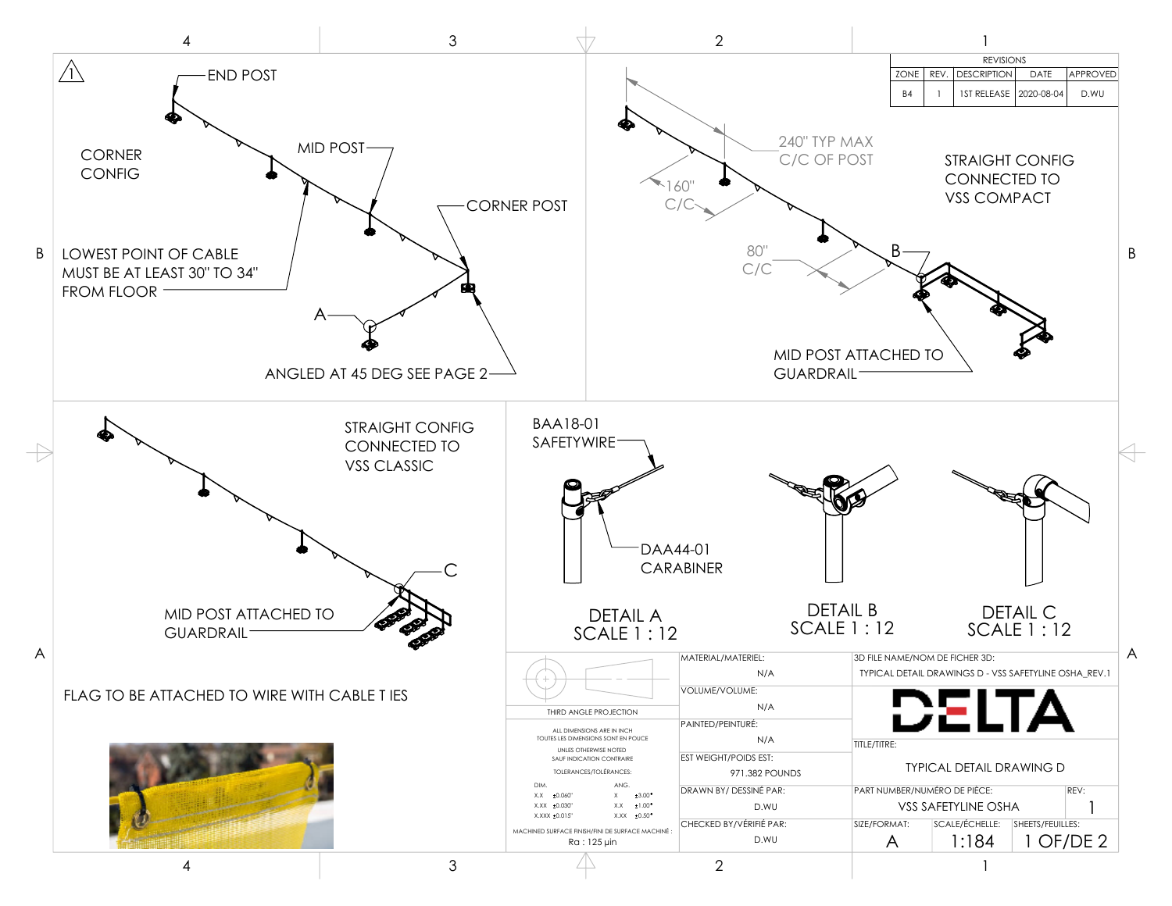